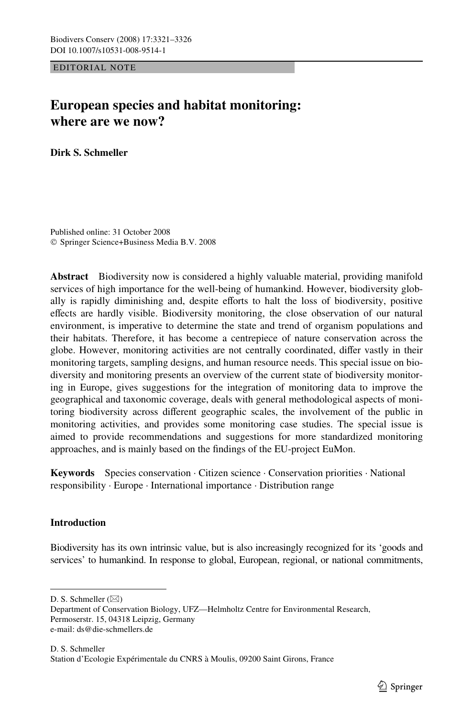EDITORIAL NOTE

## **European species and habitat monitoring: where are we now?**

**Dirk S. Schmeller** 

Published online: 31 October 2008 © Springer Science+Business Media B.V. 2008

**Abstract** Biodiversity now is considered a highly valuable material, providing manifold services of high importance for the well-being of humankind. However, biodiversity globally is rapidly diminishing and, despite efforts to halt the loss of biodiversity, positive effects are hardly visible. Biodiversity monitoring, the close observation of our natural environment, is imperative to determine the state and trend of organism populations and their habitats. Therefore, it has become a centrepiece of nature conservation across the globe. However, monitoring activities are not centrally coordinated, differ vastly in their monitoring targets, sampling designs, and human resource needs. This special issue on biodiversity and monitoring presents an overview of the current state of biodiversity monitoring in Europe, gives suggestions for the integration of monitoring data to improve the geographical and taxonomic coverage, deals with general methodological aspects of monitoring biodiversity across different geographic scales, the involvement of the public in monitoring activities, and provides some monitoring case studies. The special issue is aimed to provide recommendations and suggestions for more standardized monitoring approaches, and is mainly based on the findings of the EU-project EuMon.

**Keywords** Species conservation · Citizen science · Conservation priorities · National responsibility · Europe · International importance · Distribution range

## **Introduction**

Biodiversity has its own intrinsic value, but is also increasingly recognized for its 'goods and services' to humankind. In response to global, European, regional, or national commitments,

D. S. Schmeller  $(\boxtimes)$ 

Department of Conservation Biology, UFZ—Helmholtz Centre for Environmental Research, Permoserstr. 15, 04318 Leipzig, Germany e-mail: ds@die-schmellers.de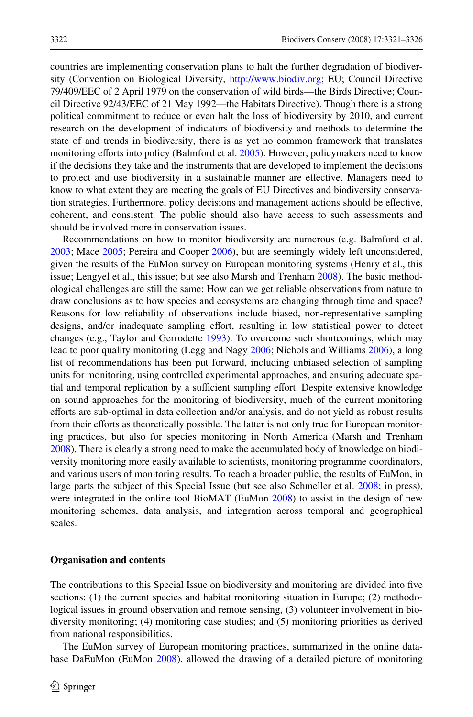countries are implementing conservation plans to halt the further degradation of biodiversity (Convention on Biological Diversity, <http://www.biodiv.org>; EU; Council Directive 79/409/EEC of 2 April 1979 on the conservation of wild birds—the Birds Directive; Council Directive 92/43/EEC of 21 May 1992—the Habitats Directive). Though there is a strong political commitment to reduce or even halt the loss of biodiversity by 2010, and current research on the development of indicators of biodiversity and methods to determine the state of and trends in biodiversity, there is as yet no common framework that translates monitoring efforts into policy (Balmford et al. [2005](#page-4-0)). However, policymakers need to know if the decisions they take and the instruments that are developed to implement the decisions to protect and use biodiversity in a sustainable manner are effective. Managers need to know to what extent they are meeting the goals of EU Directives and biodiversity conservation strategies. Furthermore, policy decisions and management actions should be effective, coherent, and consistent. The public should also have access to such assessments and should be involved more in conservation issues.

Recommendations on how to monitor biodiversity are numerous (e.g. Balmford et al. [2003;](#page-4-1) Mace [2005](#page-4-2); Pereira and Cooper [2006\)](#page-4-3), but are seemingly widely left unconsidered, given the results of the EuMon survey on European monitoring systems (Henry et al., this issue; Lengyel et al., this issue; but see also Marsh and Trenham [2008\)](#page-4-4). The basic methodological challenges are still the same: How can we get reliable observations from nature to draw conclusions as to how species and ecosystems are changing through time and space? Reasons for low reliability of observations include biased, non-representative sampling designs, and/or inadequate sampling effort, resulting in low statistical power to detect changes (e.g., Taylor and Gerrodette [1993](#page-5-0)). To overcome such shortcomings, which may lead to poor quality monitoring (Legg and Nagy [2006;](#page-4-5) Nichols and Williams [2006](#page-4-6)), a long list of recommendations has been put forward, including unbiased selection of sampling units for monitoring, using controlled experimental approaches, and ensuring adequate spatial and temporal replication by a sufficient sampling effort. Despite extensive knowledge on sound approaches for the monitoring of biodiversity, much of the current monitoring efforts are sub-optimal in data collection and/or analysis, and do not yield as robust results from their efforts as theoretically possible. The latter is not only true for European monitoring practices, but also for species monitoring in North America (Marsh and Trenham [2008\)](#page-4-4). There is clearly a strong need to make the accumulated body of knowledge on biodiversity monitoring more easily available to scientists, monitoring programme coordinators, and various users of monitoring results. To reach a broader public, the results of EuMon, in large parts the subject of this Special Issue (but see also Schmeller et al. [2008](#page-5-1); in press), were integrated in the online tool BioMAT (EuMon [2008\)](#page-4-7) to assist in the design of new monitoring schemes, data analysis, and integration across temporal and geographical scales.

## **Organisation and contents**

The contributions to this Special Issue on biodiversity and monitoring are divided into five sections: (1) the current species and habitat monitoring situation in Europe; (2) methodological issues in ground observation and remote sensing, (3) volunteer involvement in biodiversity monitoring; (4) monitoring case studies; and (5) monitoring priorities as derived from national responsibilities.

The EuMon survey of European monitoring practices, summarized in the online database DaEuMon (EuMon [2008](#page-4-7)), allowed the drawing of a detailed picture of monitoring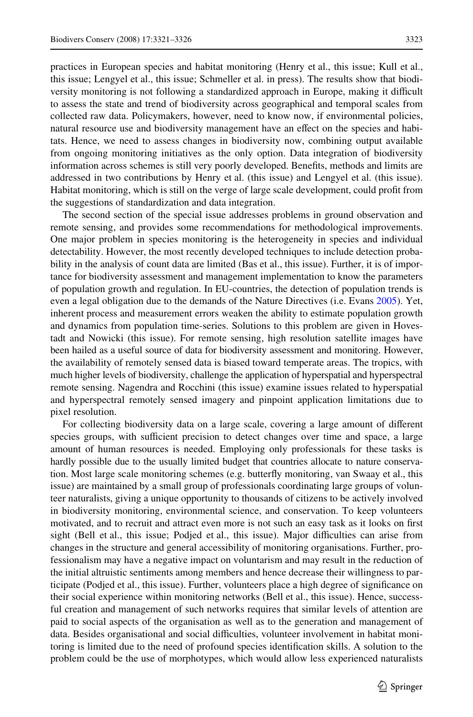practices in European species and habitat monitoring (Henry et al., this issue; Kull et al., this issue; Lengyel et al., this issue; Schmeller et al. in press). The results show that biodiversity monitoring is not following a standardized approach in Europe, making it difficult to assess the state and trend of biodiversity across geographical and temporal scales from collected raw data. Policymakers, however, need to know now, if environmental policies, natural resource use and biodiversity management have an effect on the species and habitats. Hence, we need to assess changes in biodiversity now, combining output available from ongoing monitoring initiatives as the only option. Data integration of biodiversity information across schemes is still very poorly developed. Benefits, methods and limits are addressed in two contributions by Henry et al. (this issue) and Lengyel et al. (this issue). Habitat monitoring, which is still on the verge of large scale development, could profit from the suggestions of standardization and data integration.

The second section of the special issue addresses problems in ground observation and remote sensing, and provides some recommendations for methodological improvements. One major problem in species monitoring is the heterogeneity in species and individual detectability. However, the most recently developed techniques to include detection probability in the analysis of count data are limited (Bas et al., this issue). Further, it is of importance for biodiversity assessment and management implementation to know the parameters of population growth and regulation. In EU-countries, the detection of population trends is even a legal obligation due to the demands of the Nature Directives (i.e. Evans [2005\)](#page-4-8). Yet, inherent process and measurement errors weaken the ability to estimate population growth and dynamics from population time-series. Solutions to this problem are given in Hovestadt and Nowicki (this issue). For remote sensing, high resolution satellite images have been hailed as a useful source of data for biodiversity assessment and monitoring. However, the availability of remotely sensed data is biased toward temperate areas. The tropics, with much higher levels of biodiversity, challenge the application of hyperspatial and hyperspectral remote sensing. Nagendra and Rocchini (this issue) examine issues related to hyperspatial and hyperspectral remotely sensed imagery and pinpoint application limitations due to pixel resolution.

For collecting biodiversity data on a large scale, covering a large amount of different species groups, with sufficient precision to detect changes over time and space, a large amount of human resources is needed. Employing only professionals for these tasks is hardly possible due to the usually limited budget that countries allocate to nature conservation. Most large scale monitoring schemes (e.g. butterfly monitoring, van Swaay et al., this issue) are maintained by a small group of professionals coordinating large groups of volunteer naturalists, giving a unique opportunity to thousands of citizens to be actively involved in biodiversity monitoring, environmental science, and conservation. To keep volunteers motivated, and to recruit and attract even more is not such an easy task as it looks on first sight (Bell et al., this issue; Podjed et al., this issue). Major difficulties can arise from changes in the structure and general accessibility of monitoring organisations. Further, professionalism may have a negative impact on voluntarism and may result in the reduction of the initial altruistic sentiments among members and hence decrease their willingness to participate (Podjed et al., this issue). Further, volunteers place a high degree of significance on their social experience within monitoring networks (Bell et al., this issue). Hence, successful creation and management of such networks requires that similar levels of attention are paid to social aspects of the organisation as well as to the generation and management of data. Besides organisational and social difficulties, volunteer involvement in habitat monitoring is limited due to the need of profound species identification skills. A solution to the problem could be the use of morphotypes, which would allow less experienced naturalists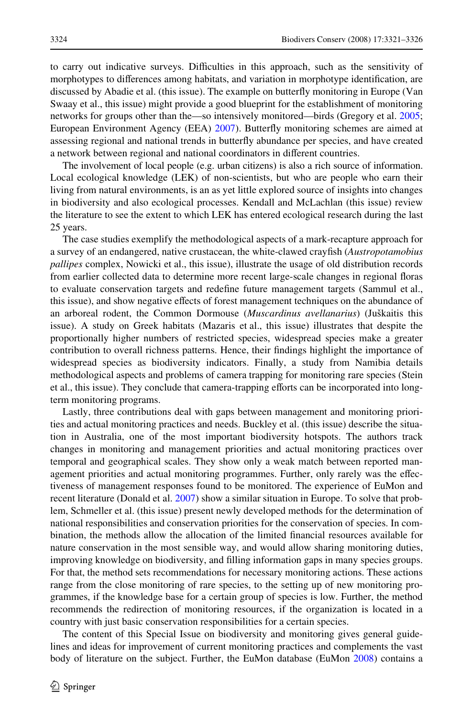to carry out indicative surveys. Difficulties in this approach, such as the sensitivity of morphotypes to differences among habitats, and variation in morphotype identification, are discussed by Abadie et al. (this issue). The example on butterfly monitoring in Europe (Van Swaay et al., this issue) might provide a good blueprint for the establishment of monitoring networks for groups other than the—so intensively monitored—birds (Gregory et al. [2005;](#page-4-9) European Environment Agency (EEA) [2007\)](#page-4-10). Butterfly monitoring schemes are aimed at assessing regional and national trends in butterfly abundance per species, and have created a network between regional and national coordinators in different countries.

The involvement of local people (e.g. urban citizens) is also a rich source of information. Local ecological knowledge (LEK) of non-scientists, but who are people who earn their living from natural environments, is an as yet little explored source of insights into changes in biodiversity and also ecological processes. Kendall and McLachlan (this issue) review the literature to see the extent to which LEK has entered ecological research during the last 25 years.

The case studies exemplify the methodological aspects of a mark-recapture approach for a survey of an endangered, native crustacean, the white-clawed crayfish (*Austropotamobius pallipes* complex, Nowicki et al., this issue), illustrate the usage of old distribution records from earlier collected data to determine more recent large-scale changes in regional floras to evaluate conservation targets and redefine future management targets (Sammul et al., this issue), and show negative effects of forest management techniques on the abundance of an arboreal rodent, the Common Dormouse (*Muscardinus avellanarius*) (Juškaitis this issue). A study on Greek habitats (Mazaris et al., this issue) illustrates that despite the proportionally higher numbers of restricted species, widespread species make a greater contribution to overall richness patterns. Hence, their findings highlight the importance of widespread species as biodiversity indicators. Finally, a study from Namibia details methodological aspects and problems of camera trapping for monitoring rare species (Stein et al., this issue). They conclude that camera-trapping efforts can be incorporated into longterm monitoring programs.

Lastly, three contributions deal with gaps between management and monitoring priorities and actual monitoring practices and needs. Buckley et al. (this issue) describe the situation in Australia, one of the most important biodiversity hotspots. The authors track changes in monitoring and management priorities and actual monitoring practices over temporal and geographical scales. They show only a weak match between reported management priorities and actual monitoring programmes. Further, only rarely was the effectiveness of management responses found to be monitored. The experience of EuMon and recent literature (Donald et al. [2007\)](#page-4-11) show a similar situation in Europe. To solve that problem, Schmeller et al. (this issue) present newly developed methods for the determination of national responsibilities and conservation priorities for the conservation of species. In combination, the methods allow the allocation of the limited financial resources available for nature conservation in the most sensible way, and would allow sharing monitoring duties, improving knowledge on biodiversity, and filling information gaps in many species groups. For that, the method sets recommendations for necessary monitoring actions. These actions range from the close monitoring of rare species, to the setting up of new monitoring programmes, if the knowledge base for a certain group of species is low. Further, the method recommends the redirection of monitoring resources, if the organization is located in a country with just basic conservation responsibilities for a certain species.

The content of this Special Issue on biodiversity and monitoring gives general guidelines and ideas for improvement of current monitoring practices and complements the vast body of literature on the subject. Further, the EuMon database (EuMon [2008](#page-4-7)) contains a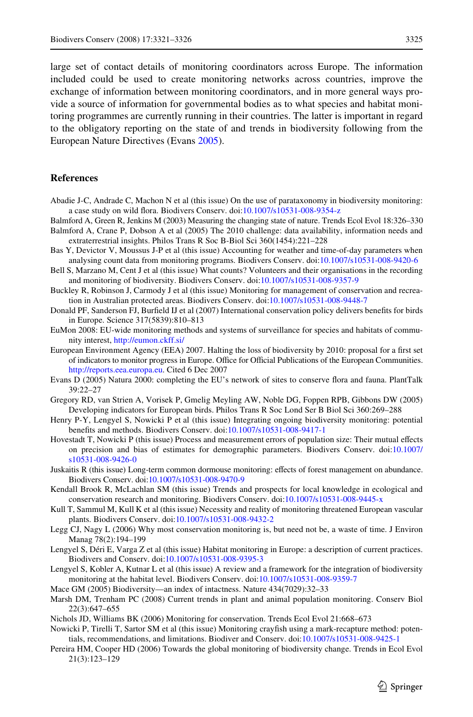large set of contact details of monitoring coordinators across Europe. The information included could be used to create monitoring networks across countries, improve the exchange of information between monitoring coordinators, and in more general ways provide a source of information for governmental bodies as to what species and habitat monitoring programmes are currently running in their countries. The latter is important in regard to the obligatory reporting on the state of and trends in biodiversity following from the European Nature Directives (Evans [2005\)](#page-4-8).

## **References**

- Abadie J-C, Andrade C, Machon N et al (this issue) On the use of parataxonomy in biodiversity monitoring: a case study on wild flora. Biodivers Conserv. doi[:10.1007/s10531-008-9354-z](http://dx.doi.org/10.1007/s10531-008-9354-z)
- <span id="page-4-1"></span><span id="page-4-0"></span>Balmford A, Green R, Jenkins M (2003) Measuring the changing state of nature. Trends Ecol Evol 18:326–330 Balmford A, Crane P, Dobson A et al (2005) The 2010 challenge: data availability, information needs and extraterrestrial insights. Philos Trans R Soc B-Biol Sci 360(1454):221–228
- Bas Y, Devictor V, Moussus J-P et al (this issue) Accounting for weather and time-of-day parameters when analysing count data from monitoring programs. Biodivers Conserv. doi:[10.1007/s10531-008-9420-6](http://dx.doi.org/10.1007/s10531-008-9420-6)
- Bell S, Marzano M, Cent J et al (this issue) What counts? Volunteers and their organisations in the recording and monitoring of biodiversity. Biodivers Conserv. doi:[10.1007/s10531-008-9357-9](http://dx.doi.org/10.1007/s10531-008-9357-9)
- Buckley R, Robinson J, Carmody J et al (this issue) Monitoring for management of conservation and recreation in Australian protected areas. Biodivers Conserv. doi[:10.1007/s10531-008-9448-7](http://dx.doi.org/10.1007/s10531-008-9448-7)
- <span id="page-4-11"></span>Donald PF, Sanderson FJ, Burfield IJ et al (2007) International conservation policy delivers benefits for birds in Europe. Science 317(5839):810–813
- <span id="page-4-7"></span>EuMon 2008: EU-wide monitoring methods and systems of surveillance for species and habitats of community interest, <http://eumon.ckff.si/>
- <span id="page-4-10"></span>European Environment Agency (EEA) 2007. Halting the loss of biodiversity by 2010: proposal for a first set of indicators to monitor progress in Europe. Office for Official Publications of the European Communities. [http://reports.eea.europa.eu.](http://reports.eea.europa.eu) Cited 6 Dec 2007
- <span id="page-4-8"></span>Evans D (2005) Natura 2000: completing the EU's network of sites to conserve flora and fauna. PlantTalk 39:22–27
- <span id="page-4-9"></span>Gregory RD, van Strien A, Vorisek P, Gmelig Meyling AW, Noble DG, Foppen RPB, Gibbons DW (2005) Developing indicators for European birds. Philos Trans R Soc Lond Ser B Biol Sci 360:269–288
- Henry P-Y, Lengyel S, Nowicki P et al (this issue) Integrating ongoing biodiversity monitoring: potential benefits and methods. Biodivers Conserv. doi[:10.1007/s10531-008-9417-1](http://dx.doi.org/10.1007/s10531-008-9417-1)
- Hovestadt T, Nowicki P (this issue) Process and measurement errors of population size: Their mutual effects on precision and bias of estimates for demographic parameters. Biodivers Conserv. doi[:10.1007/](http://dx.doi.org/10.1007/s10531-008-9426-0) [s10531-008-9426-0](http://dx.doi.org/10.1007/s10531-008-9426-0)
- Juskaitis R (this issue) Long-term common dormouse monitoring: effects of forest management on abundance. Biodivers Conserv. doi:[10.1007/s10531-008-9470-9](http://dx.doi.org/10.1007/s10531-008-9470-9)
- Kendall Brook R, McLachlan SM (this issue) Trends and prospects for local knowledge in ecological and conservation research and monitoring. Biodivers Conserv. doi[:10.1007/s10531-008-9445-x](http://dx.doi.org/10.1007/s10531-008-9445-x)
- Kull T, Sammul M, Kull K et al (this issue) Necessity and reality of monitoring threatened European vascular plants. Biodivers Conserv. doi:[10.1007/s10531-008-9432-2](http://dx.doi.org/10.1007/s10531-008-9432-2)
- <span id="page-4-5"></span>Legg CJ, Nagy L (2006) Why most conservation monitoring is, but need not be, a waste of time. J Environ Manag 78(2):194–199
- Lengyel S, Déri E, Varga Z et al (this issue) Habitat monitoring in Europe: a description of current practices. Biodivers and Conserv. doi[:10.1007/s10531-008-9395-3](http://dx.doi.org/10.1007/s10531-008-9395-3)
- Lengyel S, Kobler A, Kutnar L et al (this issue) A review and a framework for the integration of biodiversity monitoring at the habitat level. Biodivers Conserv. doi[:10.1007/s10531-008-9359-7](http://dx.doi.org/10.1007/s10531-008-9359-7)
- <span id="page-4-2"></span>Mace GM (2005) Biodiversity—an index of intactness. Nature 434(7029):32–33
- <span id="page-4-4"></span>Marsh DM, Trenham PC (2008) Current trends in plant and animal population monitoring. Conserv Biol 22(3):647–655
- <span id="page-4-6"></span>Nichols JD, Williams BK (2006) Monitoring for conservation. Trends Ecol Evol 21:668–673
- Nowicki P, Tirelli T, Sartor SM et al (this issue) Monitoring crayfish using a mark-recapture method: potentials, recommendations, and limitations. Biodiver and Conserv. doi[:10.1007/s10531-008-9425-1](http://dx.doi.org/10.1007/s10531-008-9425-1)
- <span id="page-4-3"></span>Pereira HM, Cooper HD (2006) Towards the global monitoring of biodiversity change. Trends in Ecol Evol 21(3):123–129